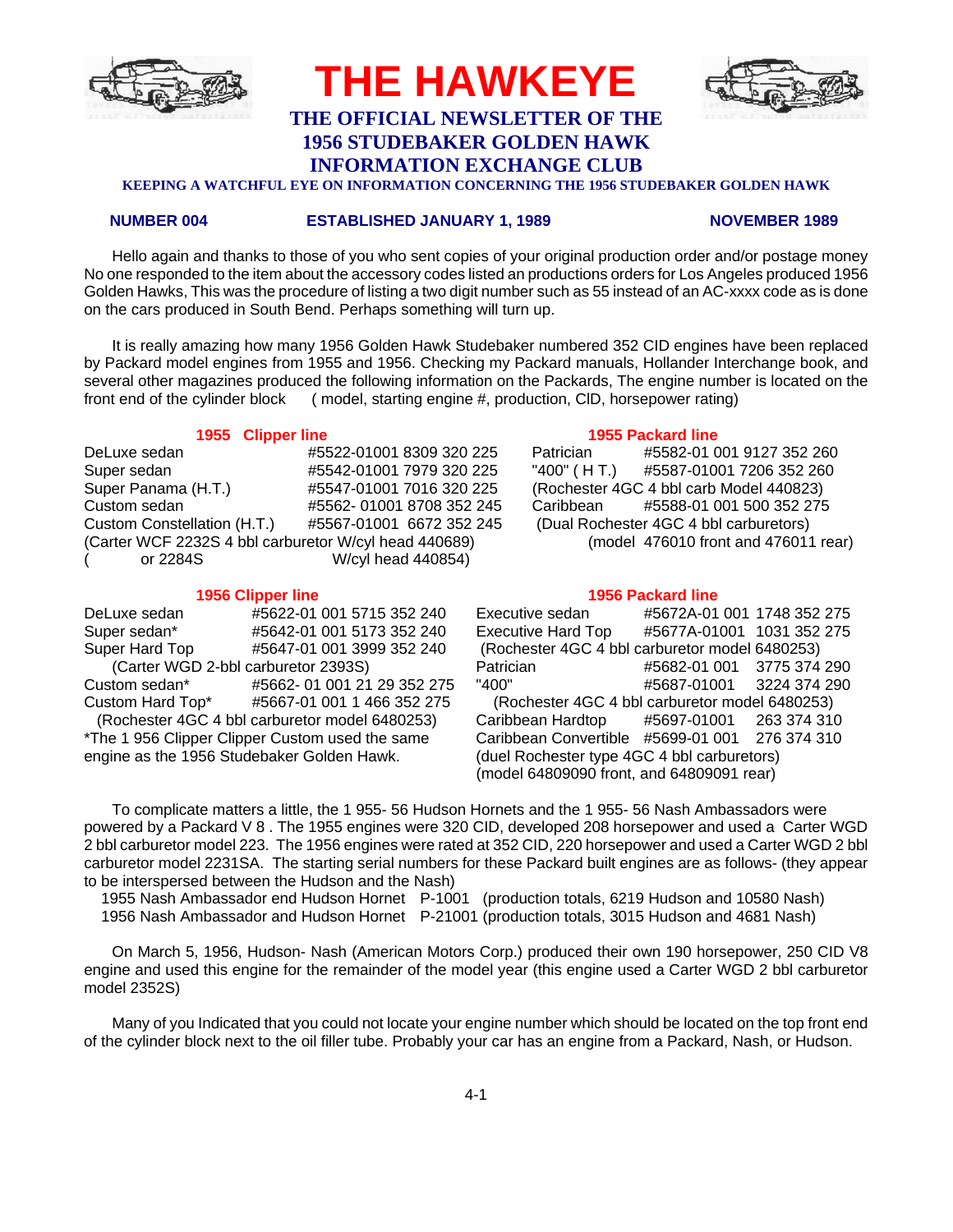

# **THE OFFICIAL NEWSLETTER OF THE 1956 STUDEBAKER GOLDEN HAWK**

**THE HAWKEYE**

**INFORMATION EXCHANGE CLUB**

**KEEPING A WATCHFUL EYE ON INFORMATION CONCERNING THE 1956 STUDEBAKER GOLDEN HAWK**

#### **NUMBER 004 ESTABLISHED JANUARY 1, 1989 NOVEMBER 1989**

Hello again and thanks to those of you who sent copies of your original production order and/or postage money No one responded to the item about the accessory codes listed an productions orders for Los Angeles produced 1956 Golden Hawks, This was the procedure of listing a two digit number such as 55 instead of an AC-xxxx code as is done on the cars produced in South Bend. Perhaps something will turn up.

It is really amazing how many 1956 Golden Hawk Studebaker numbered 352 CID engines have been replaced by Packard model engines from 1955 and 1956. Checking my Packard manuals, Hollander Interchange book, and several other magazines produced the following information on the Packards, The engine number is located on the front end of the cylinder block ( model, starting engine #, production, ClD, horsepower rating)

#### **1955 Clipper line 1955 Packard line**

| DeLuxe sedan                                          | #5522-01001 8309 320 225 | Patrician | #5582-01 001 9127 352 260               |
|-------------------------------------------------------|--------------------------|-----------|-----------------------------------------|
| Super sedan                                           | #5542-01001 7979 320 225 |           | "400" (HT.) #5587-01001 7206 352 260    |
| Super Panama (H.T.)                                   | #5547-01001 7016 320 225 |           | (Rochester 4GC 4 bbl carb Model 440823) |
| Custom sedan                                          | #5562-01001 8708 352 245 |           | Caribbean #5588-01 001 500 352 275      |
| Custom Constellation (H.T.)                           | #5567-01001 6672 352 245 |           | (Dual Rochester 4GC 4 bbl carburetors)  |
| (Carter WCF 2232S 4 bbl carburetor W/cyl head 440689) |                          |           | (model 476010 front and 476011 rear)    |
| or 2284S                                              | W/cyl head 440854)       |           |                                         |

|                                            | סוווו וסעעווט טטטו                              |
|--------------------------------------------|-------------------------------------------------|
| DeLuxe sedan                               | #5622-01 001 5715 352 240                       |
| Super sedan*                               | #5642-01 001 5173 352 240                       |
| Super Hard Top                             | #5647-01 001 3999 352 240                       |
| (Carter WGD 2-bbl carburetor 2393S)        |                                                 |
| Custom sedan*                              | #5662-01 001 21 29 352 275                      |
| Custom Hard Top*                           | #5667-01 001 1 466 352 275                      |
|                                            | (Rochester 4GC 4 bbl carburetor model 6480253)  |
|                                            | *The 1 956 Clipper Clipper Custom used the same |
| engine as the 1956 Studebaker Golden Hawk. |                                                 |

| Patrician   | #5582-01 001 9127 352 260               |
|-------------|-----------------------------------------|
| "400" (HT.) | #5587-01001 7206 352 260                |
|             | (Rochester 4GC 4 bbl carb Model 440823) |
|             | Caribbean #5588-01 001 500 352 275      |
|             | (Dual Rochester 4GC 4 bbl carburetors)  |
|             | (model 476010 front and 476011 rear)    |

### **1956 Clipper line 1956 Packard line**

Executive sedan #5672A-01 001 1748 352 275 Executive Hard Top #5677A-01001 1031 352 275 (Rochester 4GC 4 bbl carburetor model 6480253) Patrician #5682-01 001 3775 374 290 Custom sedan\* #5662- 01 001 21 29 352 275 "400" #5687-01001 3224 374 290 (Rochester 4GC 4 bbl carburetor model 6480253) Caribbean Hardtop #5697-01001 263 374 310 Caribbean Convertible #5699-01 001 276 374 310 (duel Rochester type 4GC 4 bbl carburetors) (model 64809090 front, and 64809091 rear)

To complicate matters a little, the 1 955- 56 Hudson Hornets and the 1 955- 56 Nash Ambassadors were powered by a Packard V 8 . The 1955 engines were 320 CID, developed 208 horsepower and used a Carter WGD 2 bbl carburetor model 223. The 1956 engines were rated at 352 CID, 220 horsepower and used a Carter WGD 2 bbl carburetor model 2231SA. The starting serial numbers for these Packard built engines are as follows- (they appear to be interspersed between the Hudson and the Nash)

 1955 Nash Ambassador end Hudson Hornet P-1001 (production totals, 6219 Hudson and 10580 Nash) 1956 Nash Ambassador and Hudson Hornet P-21001 (production totals, 3015 Hudson and 4681 Nash)

On March 5, 1956, Hudson- Nash (American Motors Corp.) produced their own 190 horsepower, 250 CID V8 engine and used this engine for the remainder of the model year (this engine used a Carter WGD 2 bbl carburetor model 2352S)

Many of you Indicated that you could not locate your engine number which should be located on the top front end of the cylinder block next to the oil filler tube. Probably your car has an engine from a Packard, Nash, or Hudson.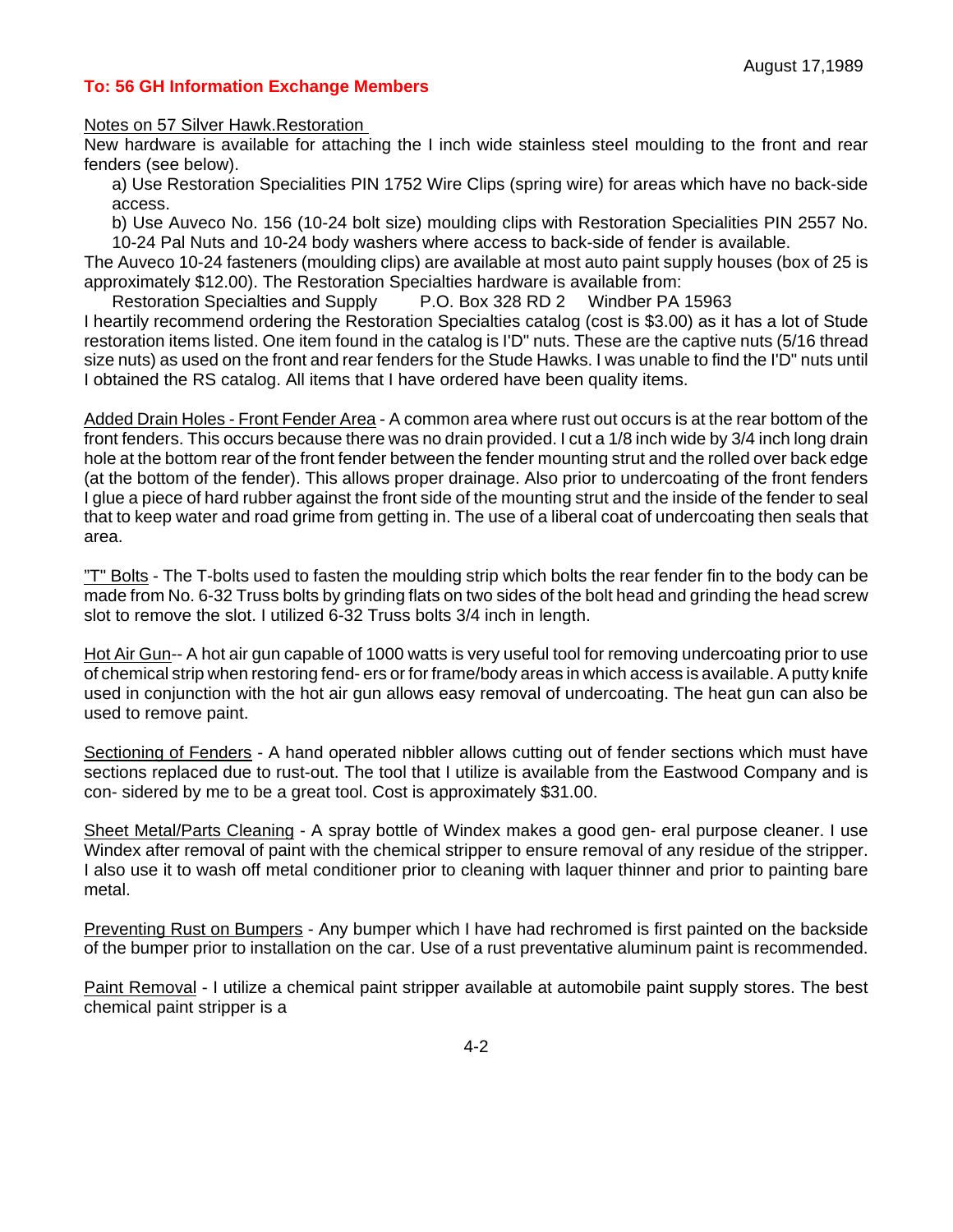## **To: 56 GH Information Exchange Members**

Notes on 57 Silver Hawk.Restoration

New hardware is available for attaching the I inch wide stainless steel moulding to the front and rear fenders (see below).

a) Use Restoration Specialities PIN 1752 Wire Clips (spring wire) for areas which have no back-side access.

b) Use Auveco No. 156 (10-24 bolt size) moulding clips with Restoration Specialities PIN 2557 No. 10-24 Pal Nuts and 10-24 body washers where access to back-side of fender is available.

The Auveco 10-24 fasteners (moulding clips) are available at most auto paint supply houses (box of 25 is approximately \$12.00). The Restoration Specialties hardware is available from:

Restoration Specialties and Supply P.O. Box 328 RD 2 Windber PA 15963

I heartily recommend ordering the Restoration Specialties catalog (cost is \$3.00) as it has a lot of Stude restoration items listed. One item found in the catalog is I'D" nuts. These are the captive nuts (5/16 thread size nuts) as used on the front and rear fenders for the Stude Hawks. I was unable to find the I'D" nuts until I obtained the RS catalog. All items that I have ordered have been quality items.

Added Drain Holes - Front Fender Area - A common area where rust out occurs is at the rear bottom of the front fenders. This occurs because there was no drain provided. I cut a 1/8 inch wide by 3/4 inch long drain hole at the bottom rear of the front fender between the fender mounting strut and the rolled over back edge (at the bottom of the fender). This allows proper drainage. Also prior to undercoating of the front fenders I glue a piece of hard rubber against the front side of the mounting strut and the inside of the fender to seal that to keep water and road grime from getting in. The use of a liberal coat of undercoating then seals that area.

"T" Bolts - The T-bolts used to fasten the moulding strip which bolts the rear fender fin to the body can be made from No. 6-32 Truss bolts by grinding flats on two sides of the bolt head and grinding the head screw slot to remove the slot. I utilized 6-32 Truss bolts 3/4 inch in length.

Hot Air Gun-- A hot air gun capable of 1000 watts is very useful tool for removing undercoating prior to use of chemical strip when restoring fend- ers or for frame/body areas in which access is available. A putty knife used in conjunction with the hot air gun allows easy removal of undercoating. The heat gun can also be used to remove paint.

Sectioning of Fenders - A hand operated nibbler allows cutting out of fender sections which must have sections replaced due to rust-out. The tool that I utilize is available from the Eastwood Company and is con- sidered by me to be a great tool. Cost is approximately \$31.00.

Sheet Metal/Parts Cleaning - A spray bottle of Windex makes a good gen- eral purpose cleaner. I use Windex after removal of paint with the chemical stripper to ensure removal of any residue of the stripper. I also use it to wash off metal conditioner prior to cleaning with laquer thinner and prior to painting bare metal.

Preventing Rust on Bumpers - Any bumper which I have had rechromed is first painted on the backside of the bumper prior to installation on the car. Use of a rust preventative aluminum paint is recommended.

Paint Removal - I utilize a chemical paint stripper available at automobile paint supply stores. The best chemical paint stripper is a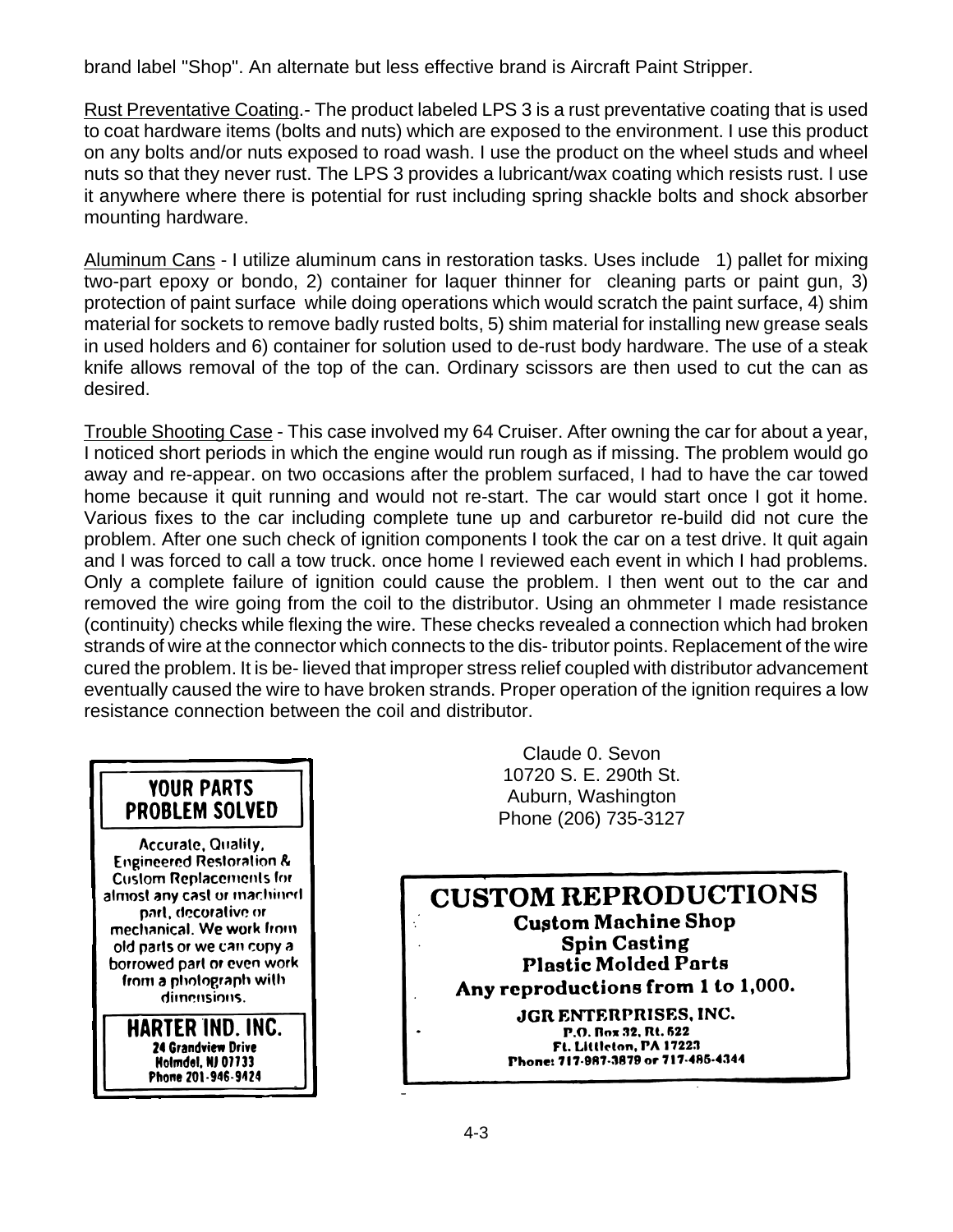brand label "Shop". An alternate but less effective brand is Aircraft Paint Stripper.

Rust Preventative Coating.- The product labeled LPS 3 is a rust preventative coating that is used to coat hardware items (bolts and nuts) which are exposed to the environment. I use this product on any bolts and/or nuts exposed to road wash. I use the product on the wheel studs and wheel nuts so that they never rust. The LPS 3 provides a lubricant/wax coating which resists rust. I use it anywhere where there is potential for rust including spring shackle bolts and shock absorber mounting hardware.

Aluminum Cans - I utilize aluminum cans in restoration tasks. Uses include 1) pallet for mixing two-part epoxy or bondo, 2) container for laquer thinner for cleaning parts or paint gun, 3) protection of paint surface while doing operations which would scratch the paint surface, 4) shim material for sockets to remove badly rusted bolts, 5) shim material for installing new grease seals in used holders and 6) container for solution used to de-rust body hardware. The use of a steak knife allows removal of the top of the can. Ordinary scissors are then used to cut the can as desired.

Trouble Shooting Case - This case involved my 64 Cruiser. After owning the car for about a year, I noticed short periods in which the engine would run rough as if missing. The problem would go away and re-appear. on two occasions after the problem surfaced, I had to have the car towed home because it quit running and would not re-start. The car would start once I got it home. Various fixes to the car including complete tune up and carburetor re-build did not cure the problem. After one such check of ignition components I took the car on a test drive. It quit again and I was forced to call a tow truck. once home I reviewed each event in which I had problems. Only a complete failure of ignition could cause the problem. I then went out to the car and removed the wire going from the coil to the distributor. Using an ohmmeter I made resistance (continuity) checks while flexing the wire. These checks revealed a connection which had broken strands of wire at the connector which connects to the dis- tributor points. Replacement of the wire cured the problem. It is be- lieved that improper stress relief coupled with distributor advancement eventually caused the wire to have broken strands. Proper operation of the ignition requires a low resistance connection between the coil and distributor.

# **YOUR PARTS PROBLEM SOLVED**

Accurate, Quality, **Engineered Restoration & Custom Replacements for** almost any cast or machined part, decorative or mechanical. We work from old parts or we can copy a borrowed part or even work from a photograph with dimensions.

> HARTER IND. INC. **24 Grandview Drive Holmdel, NJ 07733** Phone 201-946-9424

Claude 0. Sevon 10720 S. E. 290th St. Auburn, Washington Phone (206) 735-3127

**CUSTOM REPRODUCTIONS Custom Machine Shop** ¢ **Spin Casting Plastic Molded Parts** Any reproductions from 1 to 1,000. JGR ENTERPRISES, INC. P.O. Box 32, Rt. 622 Ft. Littleton, PA 17223 Phone: 717-987-3879 or 717-485-4344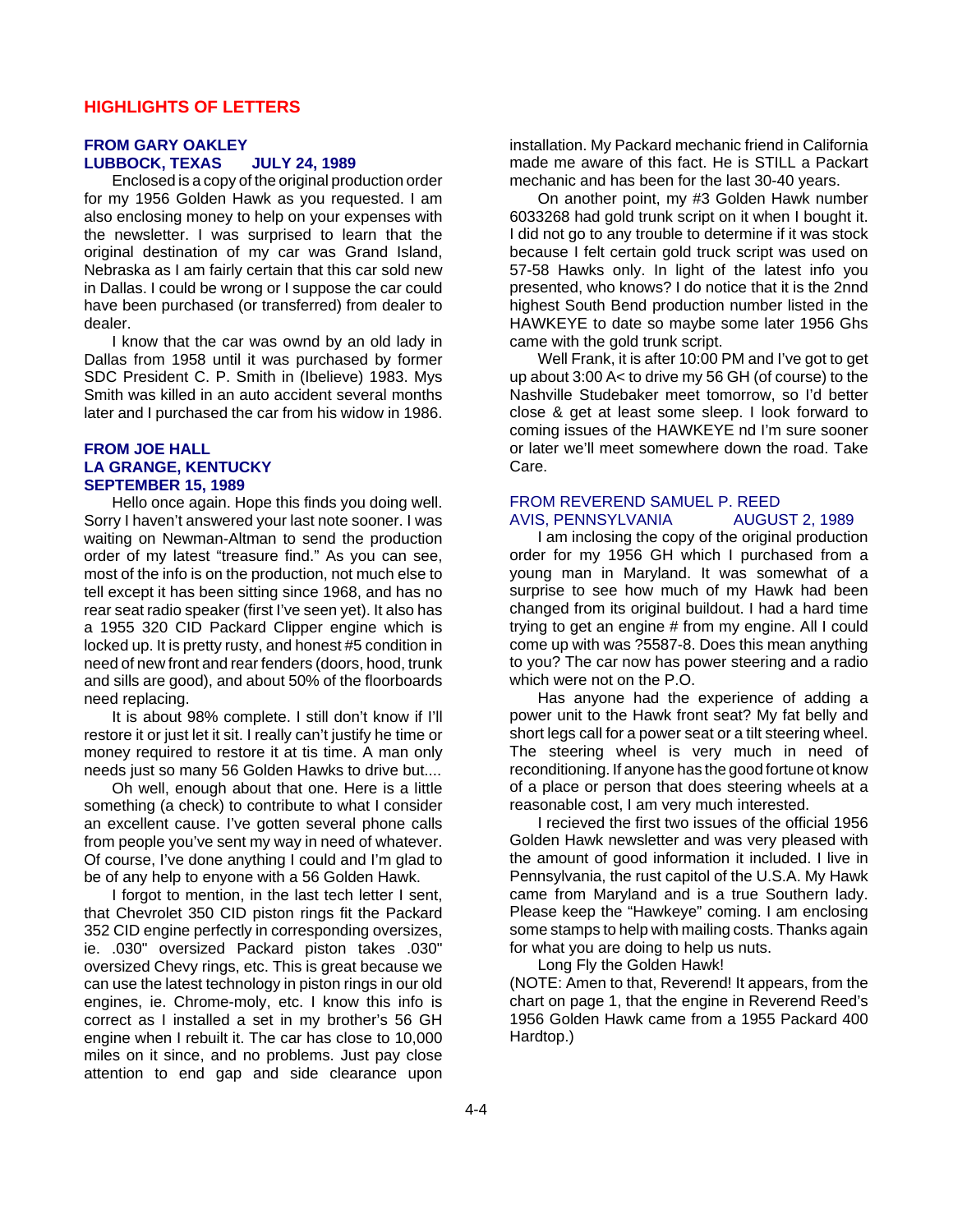### **HIGHLIGHTS OF LETTERS**

#### **FROM GARY OAKLEY LUBBOCK, TEXAS JULY 24, 1989**

Enclosed is a copy of the original production order for my 1956 Golden Hawk as you requested. I am also enclosing money to help on your expenses with the newsletter. I was surprised to learn that the original destination of my car was Grand Island, Nebraska as I am fairly certain that this car sold new in Dallas. I could be wrong or I suppose the car could have been purchased (or transferred) from dealer to dealer.

I know that the car was ownd by an old lady in Dallas from 1958 until it was purchased by former SDC President C. P. Smith in (Ibelieve) 1983. Mys Smith was killed in an auto accident several months later and I purchased the car from his widow in 1986.

#### **FROM JOE HALL LA GRANGE, KENTUCKY SEPTEMBER 15, 1989**

Hello once again. Hope this finds you doing well. Sorry I haven't answered your last note sooner. I was waiting on Newman-Altman to send the production order of my latest "treasure find." As you can see, most of the info is on the production, not much else to tell except it has been sitting since 1968, and has no rear seat radio speaker (first I've seen yet). It also has a 1955 320 CID Packard Clipper engine which is locked up. It is pretty rusty, and honest #5 condition in need of new front and rear fenders (doors, hood, trunk and sills are good), and about 50% of the floorboards need replacing.

It is about 98% complete. I still don't know if I'll restore it or just let it sit. I really can't justify he time or money required to restore it at tis time. A man only needs just so many 56 Golden Hawks to drive but....

Oh well, enough about that one. Here is a little something (a check) to contribute to what I consider an excellent cause. I've gotten several phone calls from people you've sent my way in need of whatever. Of course, I've done anything I could and I'm glad to be of any help to enyone with a 56 Golden Hawk.

I forgot to mention, in the last tech letter I sent, that Chevrolet 350 CID piston rings fit the Packard 352 CID engine perfectly in corresponding oversizes, ie. .030" oversized Packard piston takes .030" oversized Chevy rings, etc. This is great because we can use the latest technology in piston rings in our old engines, ie. Chrome-moly, etc. I know this info is correct as I installed a set in my brother's 56 GH engine when I rebuilt it. The car has close to 10,000 miles on it since, and no problems. Just pay close attention to end gap and side clearance upon

installation. My Packard mechanic friend in California made me aware of this fact. He is STILL a Packart mechanic and has been for the last 30-40 years.

On another point, my #3 Golden Hawk number 6033268 had gold trunk script on it when I bought it. I did not go to any trouble to determine if it was stock because I felt certain gold truck script was used on 57-58 Hawks only. In light of the latest info you presented, who knows? I do notice that it is the 2nnd highest South Bend production number listed in the HAWKEYE to date so maybe some later 1956 Ghs came with the gold trunk script.

Well Frank, it is after 10:00 PM and I've got to get up about 3:00 A< to drive my 56 GH (of course) to the Nashville Studebaker meet tomorrow, so I'd better close & get at least some sleep. I look forward to coming issues of the HAWKEYE nd I'm sure sooner or later we'll meet somewhere down the road. Take Care.

## FROM REVEREND SAMUEL P. REED AVIS, PENNSYLVANIA AUGUST 2, 1989

I am inclosing the copy of the original production order for my 1956 GH which I purchased from a young man in Maryland. It was somewhat of a surprise to see how much of my Hawk had been changed from its original buildout. I had a hard time trying to get an engine # from my engine. All I could come up with was ?5587-8. Does this mean anything to you? The car now has power steering and a radio which were not on the P.O.

Has anyone had the experience of adding a power unit to the Hawk front seat? My fat belly and short legs call for a power seat or a tilt steering wheel. The steering wheel is very much in need of reconditioning. If anyone has the good fortune ot know of a place or person that does steering wheels at a reasonable cost, I am very much interested.

I recieved the first two issues of the official 1956 Golden Hawk newsletter and was very pleased with the amount of good information it included. I live in Pennsylvania, the rust capitol of the U.S.A. My Hawk came from Maryland and is a true Southern lady. Please keep the "Hawkeye" coming. I am enclosing some stamps to help with mailing costs. Thanks again for what you are doing to help us nuts.

Long Fly the Golden Hawk!

(NOTE: Amen to that, Reverend! It appears, from the chart on page 1, that the engine in Reverend Reed's 1956 Golden Hawk came from a 1955 Packard 400 Hardtop.)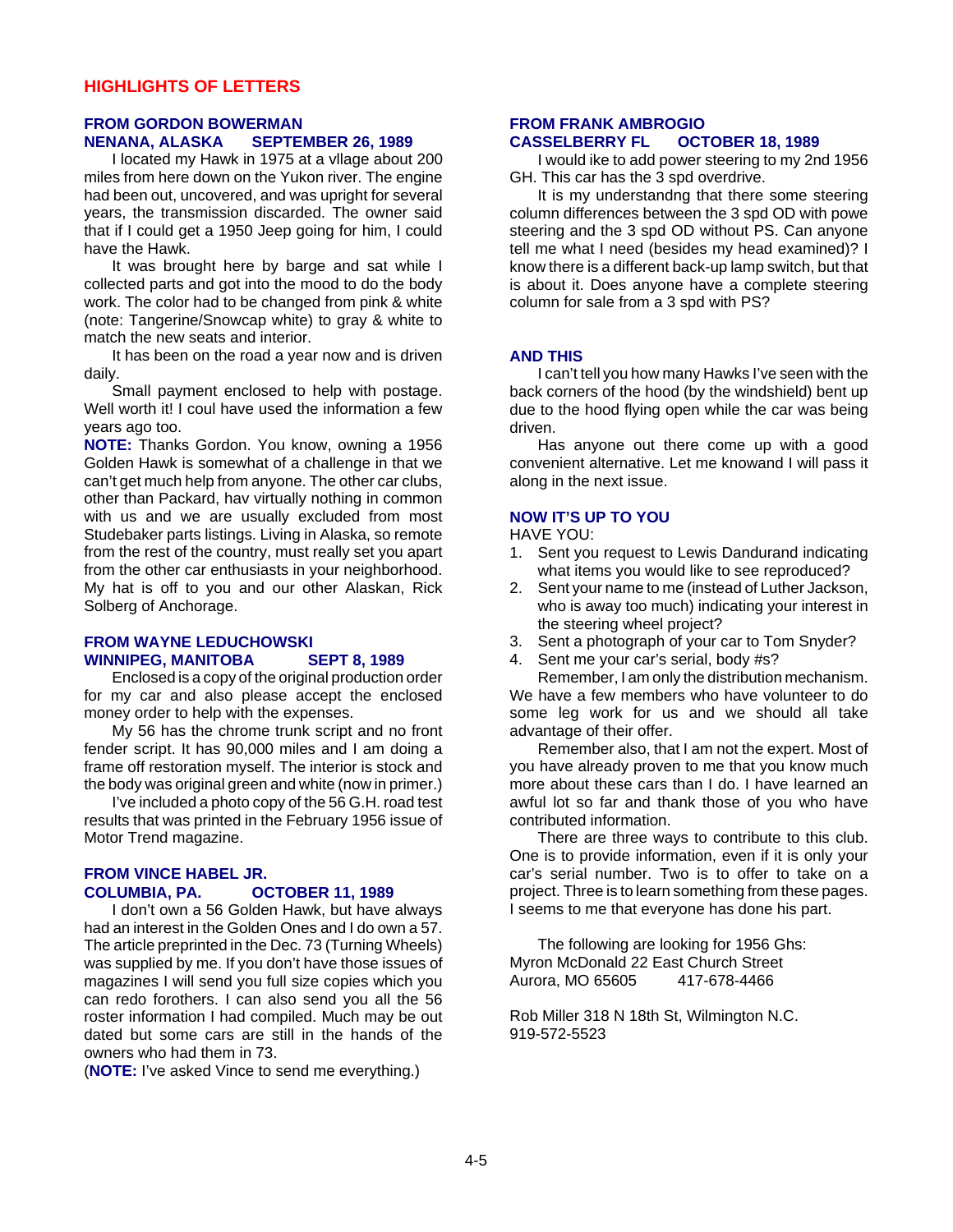#### **FROM GORDON BOWERMAN NENANA, ALASKA SEPTEMBER 26, 1989**

I located my Hawk in 1975 at a vllage about 200 miles from here down on the Yukon river. The engine had been out, uncovered, and was upright for several years, the transmission discarded. The owner said that if I could get a 1950 Jeep going for him, I could have the Hawk.

It was brought here by barge and sat while I collected parts and got into the mood to do the body work. The color had to be changed from pink & white (note: Tangerine/Snowcap white) to gray & white to match the new seats and interior.

It has been on the road a year now and is driven daily.

Small payment enclosed to help with postage. Well worth it! I coul have used the information a few years ago too.

**NOTE:** Thanks Gordon. You know, owning a 1956 Golden Hawk is somewhat of a challenge in that we can't get much help from anyone. The other car clubs, other than Packard, hav virtually nothing in common with us and we are usually excluded from most Studebaker parts listings. Living in Alaska, so remote from the rest of the country, must really set you apart from the other car enthusiasts in your neighborhood. My hat is off to you and our other Alaskan, Rick Solberg of Anchorage.

#### **FROM WAYNE LEDUCHOWSKI WINNIPEG, MANITOBA SEPT 8, 1989**

Enclosed is a copy of the original production order for my car and also please accept the enclosed money order to help with the expenses.

My 56 has the chrome trunk script and no front fender script. It has 90,000 miles and I am doing a frame off restoration myself. The interior is stock and the body was original green and white (now in primer.)

I've included a photo copy of the 56 G.H. road test results that was printed in the February 1956 issue of Motor Trend magazine.

#### **FROM VINCE HABEL JR. COLUMBIA, PA. OCTOBER 11, 1989**

I don't own a 56 Golden Hawk, but have always had an interest in the Golden Ones and I do own a 57. The article preprinted in the Dec. 73 (Turning Wheels) was supplied by me. If you don't have those issues of magazines I will send you full size copies which you can redo forothers. I can also send you all the 56 roster information I had compiled. Much may be out dated but some cars are still in the hands of the owners who had them in 73.

(**NOTE:** I've asked Vince to send me everything.)

#### **FROM FRANK AMBROGIO CASSELBERRY FL OCTOBER 18, 1989**

I would ike to add power steering to my 2nd 1956 GH. This car has the 3 spd overdrive.

It is my understandng that there some steering column differences between the 3 spd OD with powe steering and the 3 spd OD without PS. Can anyone tell me what I need (besides my head examined)? I know there is a different back-up lamp switch, but that is about it. Does anyone have a complete steering column for sale from a 3 spd with PS?

#### **AND THIS**

I can't tell you how many Hawks I've seen with the back corners of the hood (by the windshield) bent up due to the hood flying open while the car was being driven.

Has anyone out there come up with a good convenient alternative. Let me knowand I will pass it along in the next issue.

# **NOW IT'S UP TO YOU**

HAVE YOU:

- 1. Sent you request to Lewis Dandurand indicating what items you would like to see reproduced?
- 2. Sent your name to me (instead of Luther Jackson, who is away too much) indicating your interest in the steering wheel project?
- 3. Sent a photograph of your car to Tom Snyder?
- 4. Sent me your car's serial, body #s?

Remember, I am only the distribution mechanism. We have a few members who have volunteer to do some leg work for us and we should all take advantage of their offer.

Remember also, that I am not the expert. Most of you have already proven to me that you know much more about these cars than I do. I have learned an awful lot so far and thank those of you who have contributed information.

There are three ways to contribute to this club. One is to provide information, even if it is only your car's serial number. Two is to offer to take on a project. Three is to learn something from these pages. I seems to me that everyone has done his part.

The following are looking for 1956 Ghs: Myron McDonald 22 East Church Street Aurora, MO 65605 417-678-4466

Rob Miller 318 N 18th St, Wilmington N.C. 919-572-5523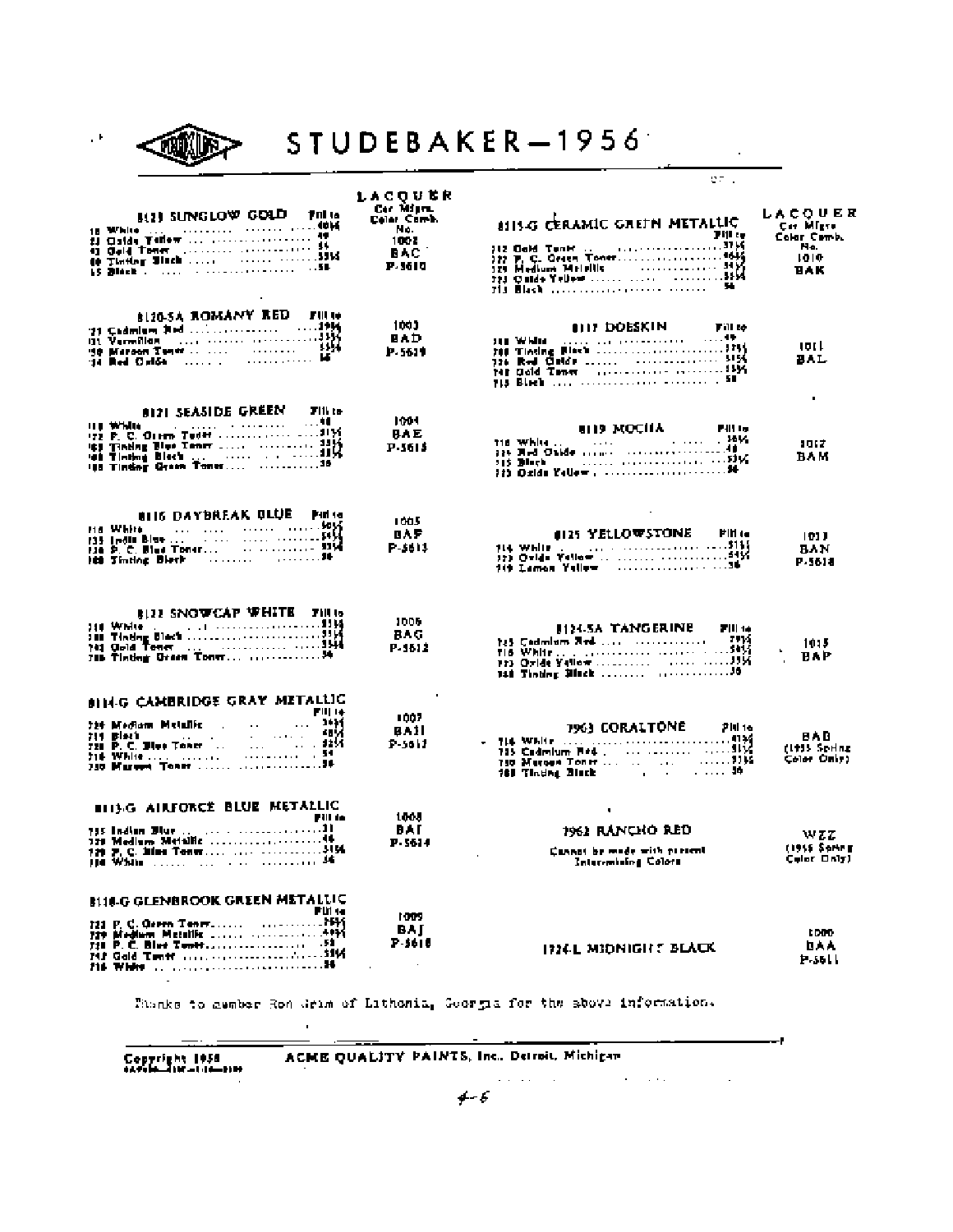

STUDEBAKER-1956

 $\sim$ 

— I

|                                                 |                    | <b>CF </b>                                                                                                                                       |                             |
|-------------------------------------------------|--------------------|--------------------------------------------------------------------------------------------------------------------------------------------------|-----------------------------|
|                                                 | LACOURR            |                                                                                                                                                  |                             |
|                                                 | Car Migra.         |                                                                                                                                                  | LACQUER                     |
| 812) SUNGLOW GOLD File                          | Color Comb.<br>No. | <b>ALISG CERAMIC GREEN METALLIC</b>                                                                                                              | Car Migre                   |
|                                                 | 1002               | Fill to                                                                                                                                          | Colar Comb.                 |
|                                                 | <b>BAC</b>         | 712 Ochd Tunnt<br>1977 P. C. Graen Toner<br>1985 - Hedlunn Meilelle<br>1977 P. C. Graen Toner<br>1985 - 113 Black<br>113 Black - 113 - 113 Black | Ha.<br>1010                 |
|                                                 | P. 1610            |                                                                                                                                                  | <b>BAK</b>                  |
|                                                 |                    |                                                                                                                                                  |                             |
|                                                 |                    |                                                                                                                                                  |                             |
| <b>BIZD-SA ROMANY RED FILLIO</b>                |                    |                                                                                                                                                  |                             |
|                                                 | 1003               | <b>OUT DOESKIN</b><br>Fill to                                                                                                                    |                             |
|                                                 | BAD                |                                                                                                                                                  |                             |
|                                                 | P. 5619            |                                                                                                                                                  | 19 L L<br>BAL               |
|                                                 |                    |                                                                                                                                                  |                             |
|                                                 |                    |                                                                                                                                                  |                             |
|                                                 |                    |                                                                                                                                                  | ٠                           |
| 8121 SEASIDE GREEN Filte                        | 1004               |                                                                                                                                                  |                             |
|                                                 | BAE                | <b>SID MOCHA Pilly</b>                                                                                                                           |                             |
|                                                 | P-3615             |                                                                                                                                                  | 1012                        |
|                                                 |                    |                                                                                                                                                  | BAM                         |
|                                                 |                    |                                                                                                                                                  |                             |
|                                                 |                    |                                                                                                                                                  |                             |
|                                                 |                    |                                                                                                                                                  |                             |
| <b>BIIS DAYBREAK BLUE Pinter</b>                | 1005               |                                                                                                                                                  |                             |
| <u> NEWS News And All Andrews And Andrews</u>   | OAF                | 0125 YELLOWSTONE<br>FIN 14                                                                                                                       | 1011                        |
|                                                 | P-5613             | 114 While J. J. Jan. (2000) 2000 (2005) 114                                                                                                      | BAN                         |
|                                                 |                    |                                                                                                                                                  | P. 561 a                    |
|                                                 |                    |                                                                                                                                                  |                             |
|                                                 |                    |                                                                                                                                                  |                             |
| <b>BIZZ SNOWCAP WHITE FILLS</b>                 | 1005               |                                                                                                                                                  |                             |
|                                                 | BA G               | <b>J124-SA TANGERINE FILM</b>                                                                                                                    |                             |
|                                                 | P. 1512            |                                                                                                                                                  | 1015                        |
|                                                 |                    |                                                                                                                                                  | <b>BYP</b>                  |
|                                                 |                    |                                                                                                                                                  |                             |
|                                                 |                    |                                                                                                                                                  |                             |
| <b>SIN-G CAMBRIDGE GRAY METALLIC</b><br>FIII 14 |                    |                                                                                                                                                  |                             |
|                                                 | 1007               | <b>1963 CORALTONE</b><br><b>PH 16</b>                                                                                                            |                             |
|                                                 | BAII<br>P-5617     |                                                                                                                                                  | BAB                         |
|                                                 |                    |                                                                                                                                                  | (1915 Sering<br>Color Only) |
|                                                 |                    |                                                                                                                                                  |                             |
|                                                 |                    |                                                                                                                                                  |                             |
| <b>BIT'S AIRFORCE BLUE METALLIC</b>             |                    |                                                                                                                                                  |                             |
| Pill in                                         | 1005               | ٠                                                                                                                                                |                             |
|                                                 | BAT                | 1962 RANCHO RED                                                                                                                                  | wzz                         |
|                                                 | P 5614             | Cannot be made with pietent                                                                                                                      | (1915 Sorieg                |
| 114 White Links and Construction 34             |                    | Inter-mising Colors                                                                                                                              | Color Only)                 |
|                                                 |                    |                                                                                                                                                  |                             |
| <b>BUILG GLENBROOK GREEN METALUC</b>            |                    |                                                                                                                                                  |                             |
| F U1 44                                         | 1009               |                                                                                                                                                  |                             |
|                                                 | BAI                |                                                                                                                                                  | tono                        |
|                                                 | P-5618             | <b>ITIEL MIDNIGHT BLACK</b>                                                                                                                      | <b>DAA</b>                  |
| 216 White and accountabilities of continuous 14 | $\cdot$            |                                                                                                                                                  | $F - 5611$                  |
| $\overline{\phantom{a}}$                        |                    |                                                                                                                                                  |                             |
|                                                 |                    |                                                                                                                                                  |                             |

Phonks to member Ron Grim of Lithonia, Georgia for the sbowl information.

 $\bar{z}$ 

ACME QUALITY PAINTS, Inc., Detroit, Michigan

Copyright 1958<br>extending the com-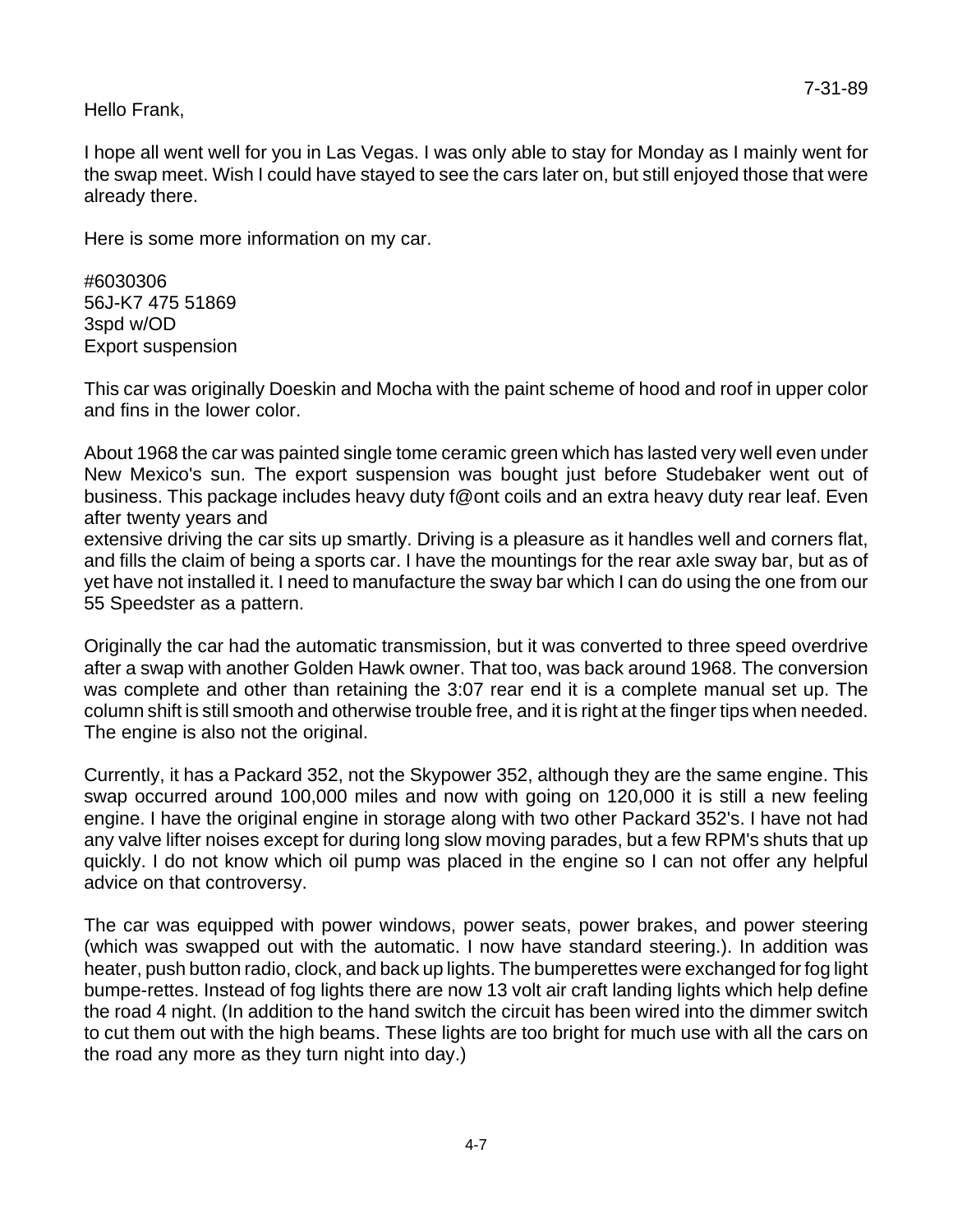Hello Frank,

I hope all went well for you in Las Vegas. I was only able to stay for Monday as I mainly went for the swap meet. Wish I could have stayed to see the cars later on, but still enjoyed those that were already there.

Here is some more information on my car.

#6030306 56J-K7 475 51869 3spd w/OD Export suspension

This car was originally Doeskin and Mocha with the paint scheme of hood and roof in upper color and fins in the lower color.

About 1968 the car was painted single tome ceramic green which has lasted very well even under New Mexico's sun. The export suspension was bought just before Studebaker went out of business. This package includes heavy duty f@ont coils and an extra heavy duty rear leaf. Even after twenty years and

extensive driving the car sits up smartly. Driving is a pleasure as it handles well and corners flat, and fills the claim of being a sports car. I have the mountings for the rear axle sway bar, but as of yet have not installed it. I need to manufacture the sway bar which I can do using the one from our 55 Speedster as a pattern.

Originally the car had the automatic transmission, but it was converted to three speed overdrive after a swap with another Golden Hawk owner. That too, was back around 1968. The conversion was complete and other than retaining the 3:07 rear end it is a complete manual set up. The column shift is still smooth and otherwise trouble free, and it is right at the finger tips when needed. The engine is also not the original.

Currently, it has a Packard 352, not the Skypower 352, although they are the same engine. This swap occurred around 100,000 miles and now with going on 120,000 it is still a new feeling engine. I have the original engine in storage along with two other Packard 352's. I have not had any valve lifter noises except for during long slow moving parades, but a few RPM's shuts that up quickly. I do not know which oil pump was placed in the engine so I can not offer any helpful advice on that controversy.

The car was equipped with power windows, power seats, power brakes, and power steering (which was swapped out with the automatic. I now have standard steering.). In addition was heater, push button radio, clock, and back up lights. The bumperettes were exchanged for fog light bumpe-rettes. Instead of fog lights there are now 13 volt air craft landing lights which help define the road 4 night. (In addition to the hand switch the circuit has been wired into the dimmer switch to cut them out with the high beams. These lights are too bright for much use with all the cars on the road any more as they turn night into day.)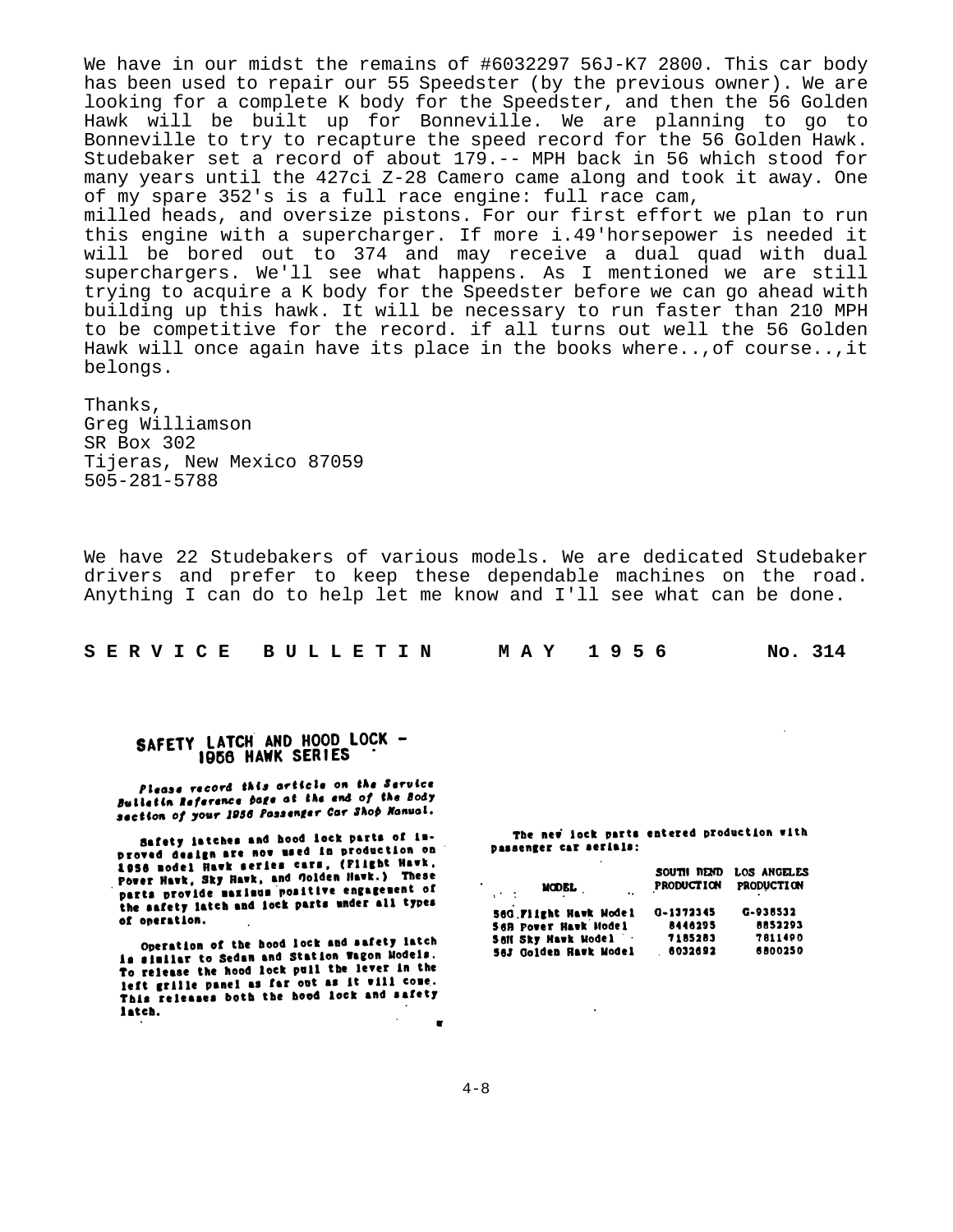We have in our midst the remains of #6032297 56J-K7 2800. This car body has been used to repair our 55 Speedster (by the previous owner). We are looking for a complete K body for the Speedster, and then the 56 Golden Hawk will be built up for Bonneville. We are planning to go to Bonneville to try to recapture the speed record for the 56 Golden Hawk. Studebaker set a record of about 179.-- MPH back in 56 which stood for many years until the 427ci Z-28 Camero came along and took it away. One of my spare 352's is a full race engine: full race cam, milled heads, and oversize pistons. For our first effort we plan to run this engine with a supercharger. If more i.49'horsepower is needed it will be bored out to 374 and may receive a dual quad with dual superchargers. We'll see what happens. As I mentioned we are still trying to acquire a K body for the Speedster before we can go ahead with building up this hawk. It will be necessary to run faster than 210 MPH to be competitive for the record. if all turns out well the 56 Golden Hawk will once again have its place in the books where..,of course..,it belongs.

Thanks, Greg Williamson SR Box 302 Tijeras, New Mexico 87059 505-281-5788

We have 22 Studebakers of various models. We are dedicated Studebaker drivers and prefer to keep these dependable machines on the road. Anything I can do to help let me know and I'll see what can be done.

| S E R V I C E B U L L E T I N | MAY 1956 | No. 314 |
|-------------------------------|----------|---------|
|-------------------------------|----------|---------|

### SAFETY LATCH AND HOOD LOCK -1956 HAWK SERIES

Please record this article on the Service **Please vectors** the end of the Body section of your 1956 Possenger Car Shop Monual.

Safety latches and hood lock parts of in-Safety latches and nood lock parts of 1800.<br>Droved design are now used in production on<br>sace and the safet cars. (Plight Hawk. 1956 nodel Hawk series cars, (Plight Hawk, 1956 model Hawk series warm, triight mass.<br>Power Hawk, Sky Hawk, and Golden Hawk.) These parts provide maximum positive engagement of the safety latch and lock parts under all types of operation.

Operation of the hood lock and safety latch is similar to Sedan and Station Wagon Models. To release the hood lock pull the lever in the To refere the mood fock pure on as it will come. This releases both the hood lock and safety latch.

The new lock parts entered production with passenger car serials:

| MODEL,<br>$\mathbf{r}$<br>$\mathcal{L}^{\text{max}}$ . The $\mathcal{L}^{\text{max}}$ | SOUTH READ<br><b>PRODUCTION</b> | LOS ANGELES<br><b>PRODUCTION</b> |
|---------------------------------------------------------------------------------------|---------------------------------|----------------------------------|
| 56G Flight Hawk Model                                                                 | 0-1372345                       | G-938532                         |
| <b>S6B POWER Hawk Model</b>                                                           | 8446295                         | 8852293                          |
| <b>Sell Sky Havk Model</b>                                                            | 7185283                         | 7811490                          |
| 56J Golden Hawk Model                                                                 | 6032692                         | 6800250                          |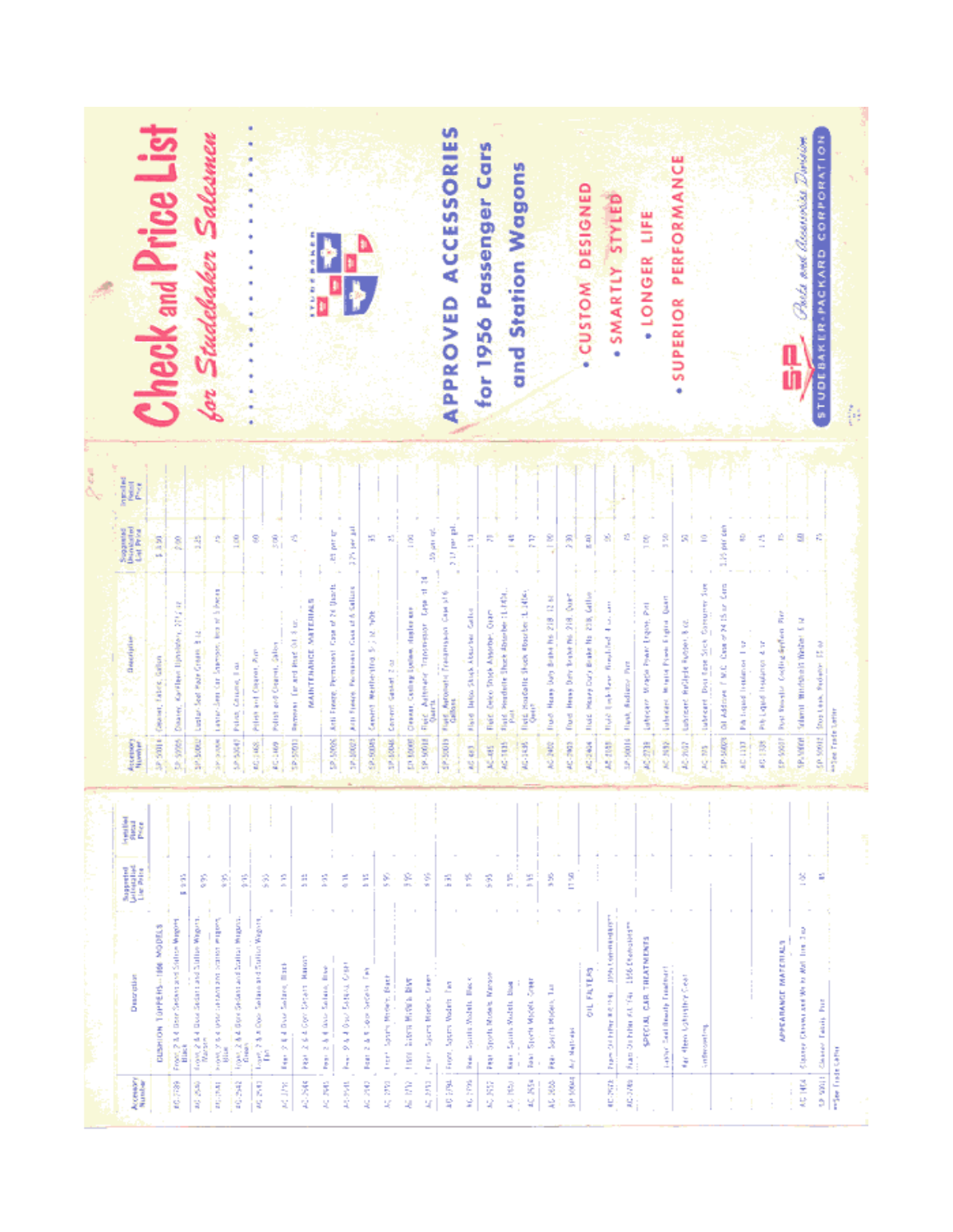

| Accessive         | Description                                                                                                       | <b>Superint</b><br>Minimalist<br>List Polite | i<br>III | Assetsory            | <b><i><u><u><u>Description</u></u></u></i></b>                            | Segundad<br>Decederation<br>List Print | 분위의 |
|-------------------|-------------------------------------------------------------------------------------------------------------------|----------------------------------------------|----------|----------------------|---------------------------------------------------------------------------|----------------------------------------|-----|
|                   | CUSHION TOPPERS-TIME MODELS                                                                                       |                                              |          | 10,000               | Gener, Fabric, Gallen                                                     | 1,150                                  |     |
| 80.7789           | Front 2 & 4 Don Sedera and Selece Wagon.<br>Black                                                                 | See 1                                        |          | <b>Second</b>        | <b>SPAGE</b><br>Carillen Unstater.<br>Disastry,                           | å                                      |     |
| 震撼                | $\cos\phi\gtrsim 0.4$ Good Sedan timed Station Wagons.<br>$\ensuremath{\mathit{W}}$ are $\ensuremath{\mathit{W}}$ | ŝ                                            |          | 27.5000.00           | ž,<br>Seet Page Green.<br>İ                                               | â                                      |     |
| <b>Research</b>   | hooding control too towards once<br>one y total                                                                   | 횕                                            |          | <b>MAYAKAR</b>       | Sharepoon, loss of 3 hopes<br>Lavier-Sep Car                              | 회                                      |     |
| 40.842            | room, 2 & 4 Good Sydam and Softon Miguno.<br>Cream                                                                | É                                            |          | 5255547              | Palett, Chispner, Trac                                                    | ğ                                      |     |
| 2002年             | Selate and Sultim Wagons,<br>Loan, 28.4 One                                                                       | ŝ                                            |          | 40.348               | Pillet and Citizen, Part                                                  | 8                                      |     |
| <b>MCDW</b>       | Î<br>is die Se<br>Territory of All Disea                                                                          | Ê                                            |          | AC-34W               | Polish and Original, Gallery                                              | $\frac{2}{\nu_1}$                      |     |
| 英庭                | i<br>Hanor<br><b>Separa</b><br>Page 2 64 Com                                                                      | š                                            |          | 1005-25              | NATHER ARE MATERIALS<br>Recrossed for and thank OL 4 on.                  | 킥                                      |     |
| ź<br>Ž            | Ì<br>Salarn,<br>2 & 4 AM<br>į                                                                                     | Ê                                            |          |                      |                                                                           |                                        |     |
| 网络黑根              | <b>LEO Trini (MO FEG</b><br>ž                                                                                     | ă                                            |          | 29982.92             | Arti Freeze, Permanent Case of 24 Quarts                                  | a and get                              |     |
| ğ<br>Q            | ŝ<br>case on press<br>ž                                                                                           | Ĕ                                            |          | 19.9008<br>12-30022  | Acti Fresco, Permanent Geard & Sallars<br>General Membership S. S. School | 医细胞<br>ڜ                               |     |
| S.<br>g           | Spark Models Date<br>È                                                                                            | g                                            |          | 19-10046             | Commit Gester 2 or                                                        | $\mathbb{R}^n_+$                       |     |
| ŝ<br>ų            | hany alternative team<br>š                                                                                        | ĝ                                            |          | <b>ED 10000</b>      | Clearer, Cashing Lysbox, Higher con-                                      | š                                      |     |
| S.<br>Ч           | Ì<br>Speed Madels<br>È,                                                                                           | Š                                            |          | 1005.65              | present accessively.<br>Adlenate<br>Field Art                             | 网络<br>Ħ,                               |     |
| 医空气               | ă<br>Sopres Woden<br>From,                                                                                        | Ĕ                                            |          | 49,50019             | Tiald, Automatic Transmission Case 316                                    | 212 per pel                            |     |
| <b>MG 219</b>     | š<br>Spanis Wednis<br>ź                                                                                           | 쬪                                            |          | 40.483               | $\frac{3}{3}$<br><b>Mark And Study And Brand</b>                          | Ē,<br>$\mathbf{u}$                     |     |
| 40, KS2           | <b>Marson</b><br>Sports Models<br>ğ                                                                               | 票                                            |          | AC-RE                | Fleid, Deko Shigh Assober, Oran                                           | R                                      |     |
| 総 地               | Ĭ<br>Sports Wednit<br>Ĵ                                                                                           | 읈.                                           |          | AC-TIT15             | Handelle Shock Absorber 31-7434.<br><b>Tiant</b>                          | Ĩ                                      |     |
| 40. NSs           | basi Spett Michi Green                                                                                            | ž                                            |          | AG-1435              | flield, Houseitte Shoot Koorber (L-1404)                                  | Ê                                      |     |
| AG 2603           | Fee South Robert Line                                                                                             | ĝ                                            |          | AC 2402              | Thurs. Howy Day British he 218, 12 st                                     | ê,                                     |     |
| SP 10044          | Ary Matthew                                                                                                       | S.                                           |          | 40-243               | Thurst Herey Date finished at 218. Quest                                  | g                                      |     |
|                   | <b>DIL FATTERS</b>                                                                                                |                                              |          | 60.2406              | fluid Heavy Duty Brake No. 238, Giftin                                    | Ê                                      |     |
| <b>Case</b>       | Transformation and the control of control and the                                                                 |                                              |          | 林都县                  | ŧ<br>Bold Link-Lee Bookled Link                                           | Ś,                                     |     |
| 80.000            | Francois District ALTRI 1896 Dealership                                                                           |                                              |          | 32-50016   Flank     | ğ<br>findiumy                                                             | ź,                                     |     |
|                   | SPECIAL CAR TREATMENTS                                                                                            |                                              | ÷        | AC-2739              | Labrary, Miraga Pears Lights, Piet                                        | ĝ                                      |     |
|                   | Lance Seat Beauty Treatment                                                                                       |                                              |          | 62,532               | Elaborate, Milana Provincial Quart                                        | Ř                                      |     |
|                   | the filter battratter Cent                                                                                        |                                              |          | 80.802               | Labrant Religie Foton, E co                                               | 民                                      |     |
|                   | an ferrometers                                                                                                    |                                              |          | 2012年                | Das Late Sich Compren Jun<br>labraint                                     | £,                                     |     |
|                   |                                                                                                                   |                                              |          | 19,500/3             | ŝ<br>Case of 24 15 or<br>Oil Address T.M.C.                               | 1.15 per cen                           |     |
|                   |                                                                                                                   |                                              |          | <b>RE-LIST</b>       | PA liquid listance 1 st                                                   | ₽                                      |     |
|                   |                                                                                                                   |                                              |          | 教師会                  | Pitch Lighter Headquarters & the                                          | ď,                                     |     |
|                   | APPEARANCE MATERIALS                                                                                              |                                              |          | <b>ENVIRON</b>       | has header Coding for an hor                                              | Ŕ                                      |     |
| <b>METHER</b>     | Sigurea Chinese and William Mail Tree 3 or                                                                        | ğ                                            |          | SP. VODGE            | ×<br>Solarot Windship Walter 5                                            | a                                      |     |
| itude etc.        | Charge Table Print                                                                                                | É                                            |          | ED: 50012            | Storten, Projety IS of                                                    | Ř                                      |     |
| mited instruction |                                                                                                                   |                                              |          | expect steels aspect |                                                                           |                                        |     |
|                   |                                                                                                                   |                                              |          |                      |                                                                           |                                        |     |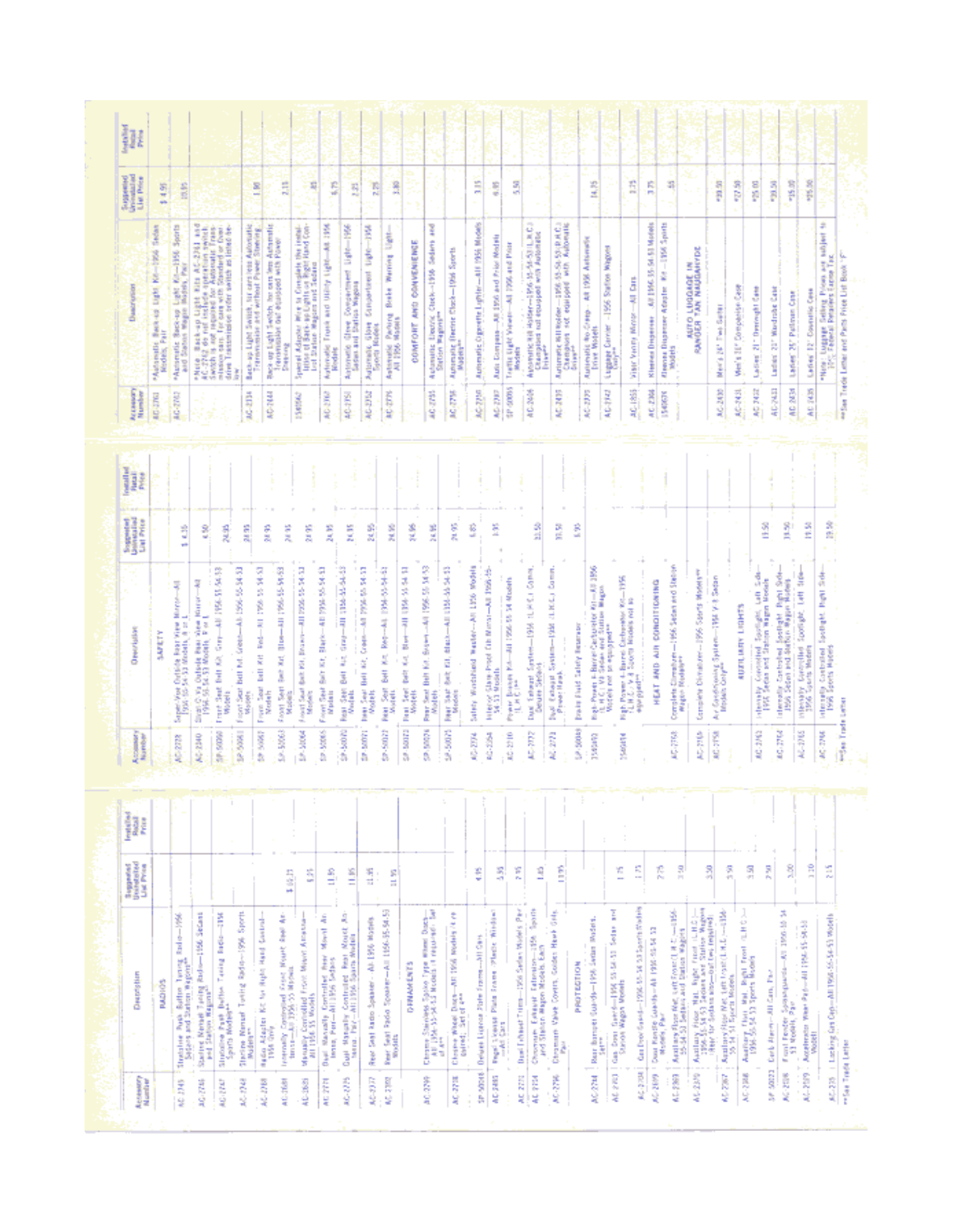| ž<br>26.62<br>å<br>ge ag<br>1.13<br>ŝ<br>混乱                                                                                                                                                                                                                                                                                                                              | <b>BC-2762</b><br><b>BG-2742</b> | "Autoritis Baco-op Light Ri-1956 Sports<br>Sedan<br>*Adolestic Banca Light Ke-1894                                                                                                                                                                                                                                                                                    | 14.95           |
|--------------------------------------------------------------------------------------------------------------------------------------------------------------------------------------------------------------------------------------------------------------------------------------------------------------------------------------------------------------------------|----------------------------------|-----------------------------------------------------------------------------------------------------------------------------------------------------------------------------------------------------------------------------------------------------------------------------------------------------------------------------------------------------------------------|-----------------|
| Figuri Seat Bell Fol. (rests-4): 1996-95-34-33<br>From Sout Bull Art Red—All 1956-55-14-53<br>Models<br>E6-65-96-990 TH-<br>Free Seat Seat Bot 191, Drawn-All 1956-55-34-32<br>Models<br>From Seat Suit Kit, Staps-All 1954-55 54-53<br>Madei<br>Truck Seat Belt Kit, Grey-All 1996 15:54 54<br>times Contact Basic View Kircumski<br>Super-Ver Orlich Patriote Marco-19 |                                  |                                                                                                                                                                                                                                                                                                                                                                       |                 |
|                                                                                                                                                                                                                                                                                                                                                                          |                                  |                                                                                                                                                                                                                                                                                                                                                                       | 10.05           |
|                                                                                                                                                                                                                                                                                                                                                                          |                                  |                                                                                                                                                                                                                                                                                                                                                                       |                 |
|                                                                                                                                                                                                                                                                                                                                                                          |                                  | $\begin{tabular}{l c c c c c c c} \hline \textbf{P1}(100) & \textbf{B1}(100) & \textbf{B1}(100) & \textbf{B1}(100) & \textbf{B1}(100) & \textbf{B1}(100) & \textbf{B1}(100) \\ \hline \textbf{A1}(100) & \textbf{B1}(100) & \textbf{B1}(100) & \textbf{B1}(100) & \textbf{B1}(100) & \textbf{B1}(100) \\ \hline \textbf{A1}(100) & \textbf{B1}(100) & \textbf{B1}(10$ |                 |
|                                                                                                                                                                                                                                                                                                                                                                          | 80-2134                          | Back-ap Light Switch, hir card least Automatic<br>Transmission and webook Pieeer Streeting,                                                                                                                                                                                                                                                                           | š               |
|                                                                                                                                                                                                                                                                                                                                                                          | <b>ROZNAI</b>                    | Reck-up Eight Switch, his ours less Automobile<br>Transmission out equipped with Power                                                                                                                                                                                                                                                                                |                 |
|                                                                                                                                                                                                                                                                                                                                                                          | Papiers!                         |                                                                                                                                                                                                                                                                                                                                                                       | E.              |
|                                                                                                                                                                                                                                                                                                                                                                          | 1540942                          | Space of Adaptar Wire to Considers the installation of Sach- ap Lights on Right And Con-<br>Light of Sach- ap Lights on Right And Con-<br>List Station- Wagons and Sodard                                                                                                                                                                                             | 롸               |
| ĝ                                                                                                                                                                                                                                                                                                                                                                        | <b>RG20R</b>                     | Automatic Trush and Using Light-Alt 1956<br>Roder                                                                                                                                                                                                                                                                                                                     | £,              |
| ž<br>40 004 44 44 53                                                                                                                                                                                                                                                                                                                                                     | 40-215                           | Artonick Gree Consentrent Light-1956<br>Sadan and Station Magnus                                                                                                                                                                                                                                                                                                      | E.              |
| 3<br>Community Market Press                                                                                                                                                                                                                                                                                                                                              | AC-DR                            | Automatic Glove Crispertment Light-1964                                                                                                                                                                                                                                                                                                                               | 岛               |
| ž<br>ST-RESORTED THE LOOK IN THE                                                                                                                                                                                                                                                                                                                                         | AC-27N                           | Automatic Parting Books Warning Light-                                                                                                                                                                                                                                                                                                                                | Å               |
| 울<br><b>Best William</b>                                                                                                                                                                                                                                                                                                                                                 |                                  | COMFORT AND CONVENIEWSE                                                                                                                                                                                                                                                                                                                                               |                 |
| 碧泥<br>Paur Seet Bill für, Superi-All 196-55 14-55<br>Wolfen                                                                                                                                                                                                                                                                                                              | 40.0%                            | Automatic Decree Clock-1956 Sedam and                                                                                                                                                                                                                                                                                                                                 |                 |
| 微视<br>Hear Seat Belt Kill, Allach-All (1964-66-94-92)<br>Michael                                                                                                                                                                                                                                                                                                         | i<br>Soo<br><b>MG-DIR</b>        | Automatic (Technic Class - 1946 Sports                                                                                                                                                                                                                                                                                                                                |                 |
| ŝ<br>Salesy Workshield Wauter-All Life Woods                                                                                                                                                                                                                                                                                                                             | 86-2250                          | Automatic Opporter Lights - All 1956 Models                                                                                                                                                                                                                                                                                                                           | ä               |
| ž<br>Interest State-Prediction Ministrated 1996-55-54                                                                                                                                                                                                                                                                                                                    | <b>MG 22F</b>                    | Auto Compani-All 1956 and Prior Models                                                                                                                                                                                                                                                                                                                                | ş               |
| From Pennis Mellen 1996<br>19<br>Mellen Holmes (1996<br>19 $\mu$ Mellen                                                                                                                                                                                                                                                                                                  | <b>Model</b><br>0000941          | Traffic Digit Venezi-AU 226 and Pour                                                                                                                                                                                                                                                                                                                                  | ā               |
| å<br>Due Teleur System-1956 (LPIC) Cares                                                                                                                                                                                                                                                                                                                                 | 高さな                              | <b>District of the state of the control of the State of V</b><br>Champions out equipped with Automatic<br>This e <sup>ast</sup>                                                                                                                                                                                                                                       |                 |
| B)<br>Sud Categor System-1988 (UNCL) Comm.<br>Presentant                                                                                                                                                                                                                                                                                                                 | <b>AC-2435</b>                   | Automatic Kill Rocker - 1955-55-55-55-12 A.C.)<br>Changelon Lock equipped with Automatic<br>Collect                                                                                                                                                                                                                                                                   |                 |
| ŝ                                                                                                                                                                                                                                                                                                                                                                        | AC-2775                          | Automatic Ro-Creep - Alt 1936 Automatic<br>Trive Motels                                                                                                                                                                                                                                                                                                               | <b>RUS</b>      |
| Bogs-Power + Barret Garburetor Kam-Ali 1956<br>10. H. G. I. Will Stellen and Station Bragne<br>Models not to equipped                                                                                                                                                                                                                                                    | AC-1942                          | Ligant Diriter - 1956 Salon Wagos                                                                                                                                                                                                                                                                                                                                     |                 |
| Fig.b. Process 4– Barrel Carbonette Wei $-1956$<br>FL B $L$ - V B $\bar{L}$ Equation bipoles rest in .                                                                                                                                                                                                                                                                   | 40-1855                          | visit Viney More - All Din-                                                                                                                                                                                                                                                                                                                                           | É               |
| HEAT AND AIR CONDITIONING                                                                                                                                                                                                                                                                                                                                                | AC-238<br>1549030                | Kleines Disperso - All 196-35-54-51 Motols<br>41gone Dispense Adapte: #4 - 1956 Spatts                                                                                                                                                                                                                                                                                | Ŕ               |
| Complete Complete -1956 Sedan and Stepen<br>Magazi Medalerri                                                                                                                                                                                                                                                                                                             | <b>Models</b>                    |                                                                                                                                                                                                                                                                                                                                                                       | 罪               |
| Complete Divisioner-1996 Starts Wadels                                                                                                                                                                                                                                                                                                                                   |                                  | <b>SANGER TAN NASARCIA</b>                                                                                                                                                                                                                                                                                                                                            | s.              |
| Air Geoffriening System-TBE Y-8 Setter<br>Brooks Corpor                                                                                                                                                                                                                                                                                                                  | AG-2430                          | Meris 241 Two Safer                                                                                                                                                                                                                                                                                                                                                   | 07.00           |
| <b>AUTILIARY LIGHTS</b>                                                                                                                                                                                                                                                                                                                                                  | 机动机                              | Weils 31" Companie Case                                                                                                                                                                                                                                                                                                                                               | $0.75$          |
| 医主<br>Laft Sche<br>Monthly Consolid Springer, Lat. 24                                                                                                                                                                                                                                                                                                                    | AC NOT                           | Latier 21" Derival Liber                                                                                                                                                                                                                                                                                                                                              | -26.00          |
| š,<br>atmostic Controlled Spotlight Right Side-<br>1956 Second and Author Region Robins                                                                                                                                                                                                                                                                                  | 40.743                           | Ladier 31" Wardrate Case                                                                                                                                                                                                                                                                                                                                              | 10.00<br>715.00 |
| ž<br>intensity Convolted Spotlight, Left Stow                                                                                                                                                                                                                                                                                                                            | AD 2434<br>AC 7435               | <b>León(12" Contrilio Cess</b><br>Lades' 25' Pullmin Cran                                                                                                                                                                                                                                                                                                             | 105.00          |
| å<br>Internety Controlled Spotlight, Italyt Side<br>1996 Sports Models                                                                                                                                                                                                                                                                                                   |                                  | "Now : Luggest Schrig Pices are soldert to                                                                                                                                                                                                                                                                                                                            |                 |
|                                                                                                                                                                                                                                                                                                                                                                          |                                  | retter Trede Lister and Parts Price List Book "F"                                                                                                                                                                                                                                                                                                                     |                 |

| Accessory<br>Number | Desprighter                                                                                                                                                                                                    | <b>Supports</b><br>Universited<br>List Price | H |
|---------------------|----------------------------------------------------------------------------------------------------------------------------------------------------------------------------------------------------------------|----------------------------------------------|---|
|                     | <b>Rugson</b>                                                                                                                                                                                                  |                                              |   |
| 60.00               | Š<br>Înte<br>Stretcher Post-Batter Transp<br>System and Striver Bagons                                                                                                                                         |                                              |   |
| 80.74               | Skóart<br>496<br>ż<br>Tuning<br>na Pu<br>Nenati<br>Statist Below                                                                                                                                               |                                              |   |
| AG-2AF              | š<br>ŝ<br>Tuesd<br>Í.<br>į<br>Sindicates                                                                                                                                                                       |                                              |   |
| 続け場                 | ţ<br>蒸气<br>Nined Toying Radio-<br><b>Starting Nov</b>                                                                                                                                                          |                                              |   |
| AC-2768             | <b>B</b><br>B<br><b>Hight Hand</b><br>No. No.<br>Hado Atacin I<br>1956 Goly                                                                                                                                    |                                              |   |
| AC-TER              | å<br><b>Hunt</b> East<br>Controlled France<br><b>Controller</b>                                                                                                                                                | ş,                                           |   |
| 40-3685             | Controlled From Meant Ameri<br>155 Models<br>Message C                                                                                                                                                         | s                                            |   |
| AC 28N              | ą<br>Į<br>Controller Brev<br>All 1956 Selberg<br>Dari Manzally<br>Jerrey Period                                                                                                                                | ŝ,                                           |   |
| 86228               | ą<br>det Rein Moret<br>Literature<br>Controll<br>Manaday<br>1977-ci<br>Capit May                                                                                                                               | $\frac{8}{11}$                               |   |
| M-1977              | Al-1956 Madels<br>Spaans-<br>Seal Ando<br>ğ                                                                                                                                                                    | 明日                                           |   |
| NG 33M              | 1996-35-94-59<br>ą<br>Tado Spoake<br><b>Rear Seat</b>                                                                                                                                                          | an an                                        |   |
|                     | <b>Q-PNAMENTS</b>                                                                                                                                                                                              |                                              |   |
| <b>RECOR</b>        | $\frac{1}{(1+\mu)^2+1} \sum_{i=1}^{n-1} \frac{1}{i\mu^i}$<br><b>BLACK STATES STATES AND REAL PROPERTY STATES INTO A REAL PROPERTY STATES IN THE REAL PROPERTY STATES IN A REAL PROPERTY AND REAL PROPERTY.</b> |                                              |   |
| MC-271E             | working it my<br>4011956<br>į,<br>Įł<br>Chairm W.                                                                                                                                                              |                                              |   |
| 10000000            | 舌言<br>İ<br>Delate Lippon Pate                                                                                                                                                                                  | ₿                                            |   |
| AC 2453             | Plage Window<br><b>Band</b><br>ž<br><b>The Content</b>                                                                                                                                                         | 홫                                            |   |
| R <sub>2</sub><br>늿 | Local Sedan World's Pain<br>David Fibreet Trims                                                                                                                                                                | E                                            |   |
| AC 25M              | <b>Sport</b><br>番号<br>Talimin-315<br>- Models Each<br>Chromore Estate II<br>Led Statistic Mapon                                                                                                                | 3                                            |   |
| AC-276              | $\frac{d}{dt}$<br>i<br>Golden<br>Valve Covers,<br>Chrysman <sup>1</sup>                                                                                                                                        | Ê                                            |   |
|                     | PROTECTION                                                                                                                                                                                                     |                                              |   |
| AC/27M              | Rodett,<br>1996 Sedan<br>the control<br>Rear Barry 81<br>$\frac{1}{2} \left( \frac{1}{2} \right) \left( \frac{1}{2} \right) \left( \frac{1}{2} \right) \left( \frac{1}{2} \right)$                             |                                              |   |
| 经全部                 | I<br>İ<br>Gentem Power Strikers<br>Gas Dona                                                                                                                                                                    | Y.<br>$\overline{\phantom{a}}$               |   |
| 医空间                 | Hold North St. 2015 and William<br>Case Dyor Gased-                                                                                                                                                            | Ē                                            |   |
| 80309               | Cour Kandie (Aerth-All 1997-92-54-33)<br>  Madely Per                                                                                                                                                          | Ř,                                           |   |
| 60.229              | ŧ<br>Antiury floor Met out from (1.8 C).<br>19-54-51 Setting and Surino Website                                                                                                                                | 묅                                            |   |
| 46/23/9             | Fortune Foot Mr. hps for the CRS 2-8<br>hps relate are somewhat it is the profit.<br>There is define an another control.                                                                                       | ã                                            |   |
| 45,750              | ŝ<br>And how these that the translation.                                                                                                                                                                       | 罰                                            |   |
| 最近に戻る               | $\overline{\omega}$<br>Ξ<br>é<br>Rept Front<br>antary floor that a<br>ч                                                                                                                                        | ă                                            |   |
| 14.2005             | ž<br>All Can,<br>Carl: Aire                                                                                                                                                                                    | R,                                           |   |
| 風の いんしん             | 1996-1991<br>ş<br><b>Participate</b><br>Fund Fender Syn<br>53 Models, Parr                                                                                                                                     | ş                                            |   |
| AC-2579             | When the control the control<br>t.<br>Acceleration<br>Vocati                                                                                                                                                   | $\frac{1}{2}$                                |   |
| 総定                  | Lacking Crit Organ All 1956-55-54-53 Woods<br>$\sim$                                                                                                                                                           | ž                                            |   |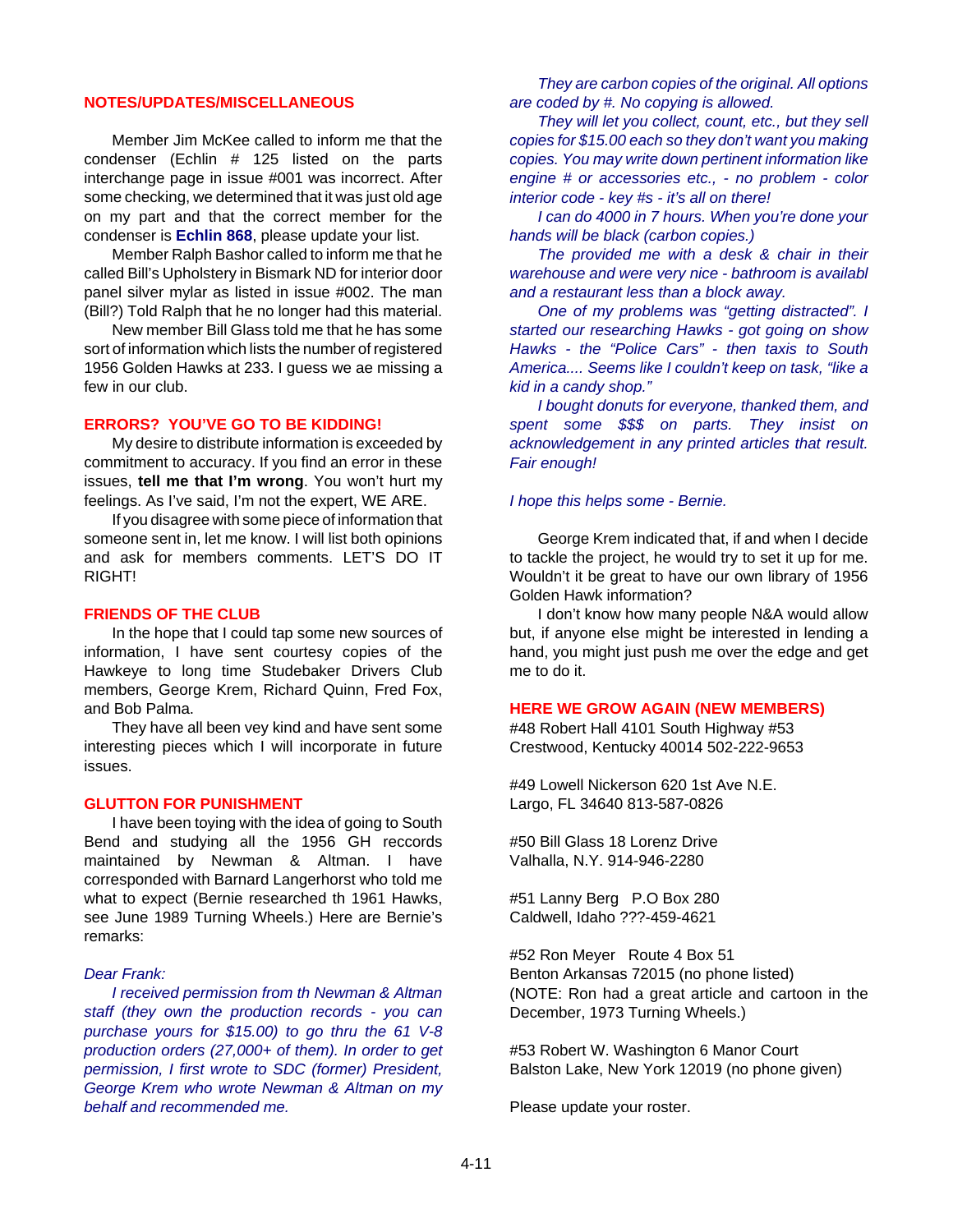### **NOTES/UPDATES/MISCELLANEOUS**

Member Jim McKee called to inform me that the condenser (Echlin # 125 listed on the parts interchange page in issue #001 was incorrect. After some checking, we determined that it was just old age on my part and that the correct member for the condenser is **Echlin 868**, please update your list.

Member Ralph Bashor called to inform me that he called Bill's Upholstery in Bismark ND for interior door panel silver mylar as listed in issue #002. The man (Bill?) Told Ralph that he no longer had this material.

New member Bill Glass told me that he has some sort of information which lists the number of registered 1956 Golden Hawks at 233. I guess we ae missing a few in our club.

#### **ERRORS? YOU'VE GO TO BE KIDDING!**

My desire to distribute information is exceeded by commitment to accuracy. If you find an error in these issues, **tell me that I'm wrong**. You won't hurt my feelings. As I've said, I'm not the expert, WE ARE.

If you disagree with some piece of information that someone sent in, let me know. I will list both opinions and ask for members comments. LET'S DO IT RIGHT!

#### **FRIENDS OF THE CLUB**

In the hope that I could tap some new sources of information, I have sent courtesy copies of the Hawkeye to long time Studebaker Drivers Club members, George Krem, Richard Quinn, Fred Fox, and Bob Palma.

They have all been vey kind and have sent some interesting pieces which I will incorporate in future issues.

#### **GLUTTON FOR PUNISHMENT**

I have been toying with the idea of going to South Bend and studying all the 1956 GH reccords maintained by Newman & Altman. I have corresponded with Barnard Langerhorst who told me what to expect (Bernie researched th 1961 Hawks, see June 1989 Turning Wheels.) Here are Bernie's remarks:

#### *Dear Frank:*

*I received permission from th Newman & Altman staff (they own the production records - you can purchase yours for \$15.00) to go thru the 61 V-8 production orders (27,000+ of them). In order to get permission, I first wrote to SDC (former) President, George Krem who wrote Newman & Altman on my behalf and recommended me.*

*They are carbon copies of the original. All options are coded by #. No copying is allowed.*

*They will let you collect, count, etc., but they sell copies for \$15.00 each so they don't want you making copies. You may write down pertinent information like engine # or accessories etc., - no problem - color interior code - key #s - it's all on there!*

*I can do 4000 in 7 hours. When you're done your hands will be black (carbon copies.)*

*The provided me with a desk & chair in their warehouse and were very nice - bathroom is availabl and a restaurant less than a block away.*

*One of my problems was "getting distracted". I started our researching Hawks - got going on show Hawks - the "Police Cars" - then taxis to South America.... Seems like I couldn't keep on task, "like a kid in a candy shop."*

*I bought donuts for everyone, thanked them, and spent some \$\$\$ on parts. They insist on acknowledgement in any printed articles that result. Fair enough!*

#### *I hope this helps some - Bernie.*

George Krem indicated that, if and when I decide to tackle the project, he would try to set it up for me. Wouldn't it be great to have our own library of 1956 Golden Hawk information?

I don't know how many people N&A would allow but, if anyone else might be interested in lending a hand, you might just push me over the edge and get me to do it.

#### **HERE WE GROW AGAIN (NEW MEMBERS)**

#48 Robert Hall 4101 South Highway #53 Crestwood, Kentucky 40014 502-222-9653

#49 Lowell Nickerson 620 1st Ave N.E. Largo, FL 34640 813-587-0826

#50 Bill Glass 18 Lorenz Drive Valhalla, N.Y. 914-946-2280

#51 Lanny Berg P.O Box 280 Caldwell, Idaho ???-459-4621

#52 Ron Meyer Route 4 Box 51 Benton Arkansas 72015 (no phone listed) (NOTE: Ron had a great article and cartoon in the December, 1973 Turning Wheels.)

#53 Robert W. Washington 6 Manor Court Balston Lake, New York 12019 (no phone given)

Please update your roster.